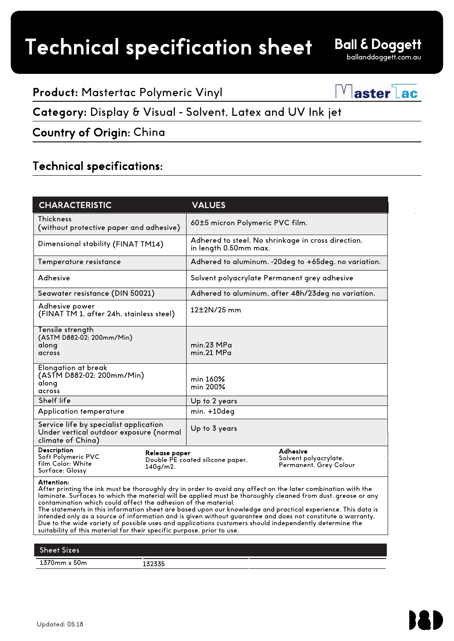# Technical specification sheet

**Ball & Doggett** ballanddoggett.com.au

#### **Product:** Mastertac Polymeric Vinyl

 $\sqrt{a}$ ster $\overline{a}$ c

#### **Category:** Display & Visual - Solvent, Latex and UV Ink jet

Country of Origin: China

#### Technical specifications:

| <b>CHARACTERISTIC</b>                                                                                  | <b>VALUES</b>                                     |                                                                             |  |
|--------------------------------------------------------------------------------------------------------|---------------------------------------------------|-----------------------------------------------------------------------------|--|
| <b>Thickness</b><br>(without protective paper and adhesive)                                            |                                                   | 60±5 micron Polymeric PVC film.                                             |  |
| Dimensional stability (FINAT TM14)                                                                     |                                                   | Adhered to steel, No shrinkage in cross direction,<br>in length 0.50mm max. |  |
| Temperature resistance                                                                                 |                                                   | Adhered to aluminum. -20deg to +65deg, no variation.                        |  |
| Adhesive                                                                                               |                                                   | Solvent polyacrylate Permanent grey adhesive                                |  |
| Seawater resistance (DIN 50021)                                                                        |                                                   | Adhered to aluminum, after 48h/23deg no variation.                          |  |
| Adhesive power<br>(FINAT TM 1, after 24h, stainless steel)                                             | $12\pm2N/25$ mm                                   |                                                                             |  |
| Tensile strength<br>(ASTM D882-02; 200mm/Min)<br>along<br>across                                       | min.23 MPa<br>min.21 MPa                          |                                                                             |  |
| Elongation at break<br>(ASTM D882-02; 200mm/Min)<br>along<br>across                                    | min 160%<br>min 200%                              |                                                                             |  |
| Shelf life                                                                                             | Up to 2 years                                     |                                                                             |  |
| Application temperature                                                                                | min. +10deg                                       |                                                                             |  |
| Service life by specialist application<br>Under vertical outdoor exposure (normal<br>climate of China) | Up to 3 years                                     |                                                                             |  |
| Description<br>Soft Polymeric PVC<br>film Color: White<br>$140q/m2$ .<br>Surface: Glossy               | Release paper<br>Double PE coated silicone paper, | Adhesive<br>Solvent polyacrylate,<br>Permanent, Grey Colour                 |  |

#### Attention:

After printing the ink must be thoroughly dry in order to avoid any affect on the later combination with the laminate. Surfaces to which the material will be applied must be thoroughly cleaned from dust, grease or any contamination which could affect the adhesion of the material.

The statements in this information sheet are based upon our knowledge and practical experience. This data is intended only as a source of information and is given without guarantee and does not constitute a warranty. Due to the wide variety of possible uses and applications customers should independently determine the suitability of this material for their specific purpose, prior to use.

### Sheet Sizes 1370mm x 50m 132335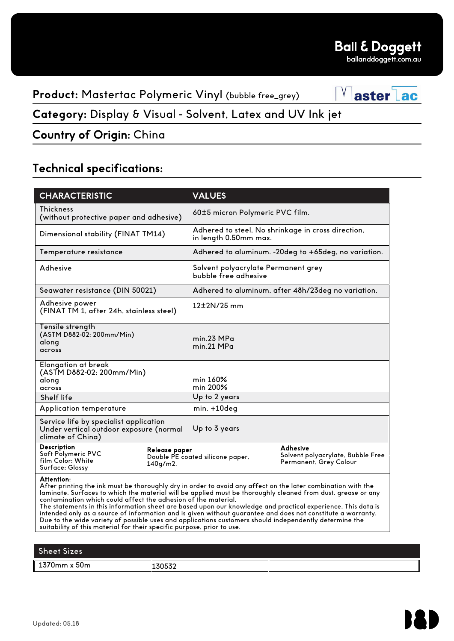Vasterlac

**Product:** Mastertac Polymeric Vinyl (bubble free\_grey)

**Category:** Display & Visual - Solvent, Latex and UV Ink jet

Country of Origin: China

## Technical specifications:

| <b>CHARACTERISTIC</b>                                                                                  |                           | <b>VALUES</b>                                                                                                                                                                                                                                                                                                                                                  |  |
|--------------------------------------------------------------------------------------------------------|---------------------------|----------------------------------------------------------------------------------------------------------------------------------------------------------------------------------------------------------------------------------------------------------------------------------------------------------------------------------------------------------------|--|
| <b>Thickness</b><br>(without protective paper and adhesive)                                            |                           | 60±5 micron Polymeric PVC film.                                                                                                                                                                                                                                                                                                                                |  |
| Dimensional stability (FINAT TM14)                                                                     |                           | Adhered to steel, No shrinkage in cross direction,<br>in length 0.50mm max.                                                                                                                                                                                                                                                                                    |  |
| Temperature resistance                                                                                 |                           | Adhered to aluminum. -20deg to +65deg, no variation.                                                                                                                                                                                                                                                                                                           |  |
| Adhesive                                                                                               |                           | Solvent polyacrylate Permanent grey<br>bubble free adhesive                                                                                                                                                                                                                                                                                                    |  |
| Seawater resistance (DIN 50021)                                                                        |                           | Adhered to aluminum, after 48h/23deg no variation.                                                                                                                                                                                                                                                                                                             |  |
| Adhesive power<br>(FINAT TM 1, after 24h, stainless steel)                                             |                           | $12\pm2N/25$ mm                                                                                                                                                                                                                                                                                                                                                |  |
| Tensile strength<br>(ASTM D882-02; 200mm/Min)<br>along<br>across                                       |                           | min.23 MPa<br>min.21 MPa                                                                                                                                                                                                                                                                                                                                       |  |
| Elongation at break<br>(ASTM D882-02; 200mm/Min)<br>along<br>across                                    |                           | min 160%<br>min 200%                                                                                                                                                                                                                                                                                                                                           |  |
| Shelf life                                                                                             |                           | Up to 2 years                                                                                                                                                                                                                                                                                                                                                  |  |
| Application temperature                                                                                |                           | $min. +10deg$                                                                                                                                                                                                                                                                                                                                                  |  |
| Service life by specialist application<br>Under vertical outdoor exposure (normal<br>climate of China) |                           | Up to 3 years                                                                                                                                                                                                                                                                                                                                                  |  |
| Description<br>Soft Polymeric PVC<br>film Color: White<br>Surface: Glossy                              | Release paper<br>140g/m2. | Adhesive<br>Solvent polyacrylate, Bubble Free<br>Double PE coated silicone paper,<br>Permanent, Grey Colour                                                                                                                                                                                                                                                    |  |
| Attention:<br>contamination which could affect the adhesion of the material.                           |                           | After printing the ink must be thoroughly dry in order to avoid any affect on the later combination with the<br>laminate. Surfaces to which the material will be applied must be thoroughly cleaned from dust, grease or any<br>$\mathbf{r}$ , and $\mathbf{r}$ , and $\mathbf{r}$ , and $\mathbf{r}$ , and $\mathbf{r}$ , and $\mathbf{r}$ , and $\mathbf{r}$ |  |

The statements in this information sheet are based upon our knowledge and practical experience. This data is intended only as a source of information and is given without guarantee and does not constitute a warranty. Due to the wide variety of possible uses and applications customers should independently determine the suitability of this material for their specific purpose, prior to use.

## Sheet Sizes 1370mm x 50m 130532